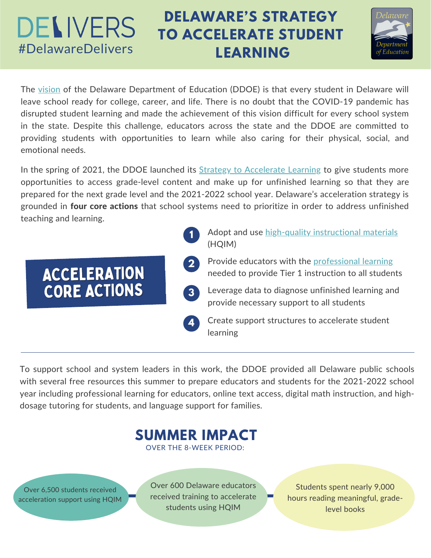# **DELIVERS**

# **DELAWARE'S STRATEGY TO ACCELERATE STUDENT** #DelawareDelivers **LEARNING**



The [vision](https://education.delaware.gov/about-doe/vision/) of the Delaware Department of Education (DDOE) is that every student in Delaware will leave school ready for college, career, and life. There is no doubt that the COVID-19 pandemic has disrupted student learning and made the achievement of this vision difficult for every school system in the state. Despite this challenge, educators across the state and the DDOE are committed to providing students with opportunities to learn while also caring for their physical, social, and emotional needs.

In the spring of 2021, the DDOE launched its Strategy to [Accelerate](https://education.delaware.gov/wp-content/uploads/digital_de/ddoe-strategy-to-accelerate-learning-5.4.21.pdf) Learning to give students more opportunities to access grade-level content and make up for unfinished learning so that they are prepared for the next grade level and the 2021-2022 school year. Delaware's acceleration strategy is grounded in four core actions that school systems need to prioritize in order to address unfinished teaching and learning.

- Adopt and use high-quality [instructional](https://education.delaware.gov/wp-content/uploads/digital_de/de-delivers-hqim-overview.pdf) materials (HQIM) Provide educators with the [professional](https://education.delaware.gov/wp-content/uploads/digital_de/de-delivers-hqpl-overview.pdf) learning needed to provide Tier 1 instruction to all students Leverage data to diagnose unfinished learning and provide necessary support to all students **1** ACCELERATION CORE ACTIONS **2 3**
	- Create support structures to accelerate student learning **4**

To support school and system leaders in this work, the DDOE provided all Delaware public schools with several free resources this summer to prepare educators and students for the 2021-2022 school year including professional learning for educators, online text access, digital math instruction, and highdosage tutoring for students, and language support for families.



OVER THE 8-WEEK PERIOD:

Over 6,500 students received acceleration support using HQIM Over 600 Delaware educators received training to accelerate students using HQIM

Students spent nearly 9,000 hours reading meaningful, gradelevel books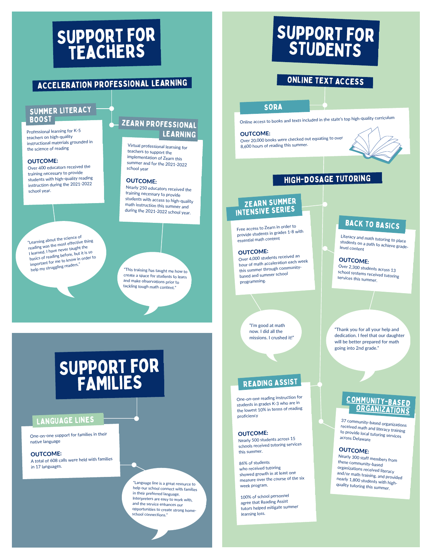# Support for teachers

### ACCELERATION PROFESSIONAL LEARNING

# SUMMER LITERACY

Professional learning for K-5 teachers on high-quality instructional materials grounded in the science of reading

#### OUTCOME:

Over <sup>400</sup> educators received the training necessary to provide students with high-quality reading instruction during the 2021-2022 school year.

"Learning about the science of reading was the most effective thing I learned. I have never taught the eading was the model that<br>| learned. I have never taught the<br>basics of reading the know in order to important for me to know in order to help my struggling readers."

### BOOST **ZEARN PROFESSIONAL** LEARNING

Virtual professional learning for teachers to support the implementation of Zearn this summer and for the 2021-2022 school year

#### OUTCOME:

Nearly <sup>250</sup> educators received the training necessary to provide math instruction this summer and during the 2021-2022 school year.

"This training has taught me how to create <sup>a</sup> space for students to learn and make observations prior to tackling tough math content."

# Support for FAMILIES

### LANGUAGE LINES

One-on-one support for families in their native language

#### OUTCOME:

A total of <sup>608</sup> calls were held with families in 17 languages.

> "Language line is <sup>a</sup> great resource to help our school connect with families in their preferred language. Interpreters are easy to work with, and the service enhances our opportunities to create strong homeschool connections."

# Support for STUDENTS

### ONLINE TEXT ACCESS

#### **SORA**

Online access to books and texts included in the state's top high-quality curriculum

#### OUTCOME:

Over 20,000 books were checked out equating to over 8,600 hours of reading this summer.



### HIGH-DOSAGE TUTORING

### ZEARN SUMMER INTENSIVE SERIES

Free access to Zearn in order to provide students in grades 1-8 with essential math content

#### OUTCOME:

Over 4,000 students received an hour of math acceleration each week this summer through communitybased and summer school programming.

> "I'm good at math now. I did all the missions. I crushed it!"

### READING ASSIST

One-on-one reading instruction for students in grades K-3 who are in the lowest 10% in terms of reading proficiency

#### OUTCOME:

Nearly <sup>500</sup> students across <sup>15</sup> schools received tutoring services this summer.

86% of students who received tutoring showed growth in at least one measure over the course of the six week program.

100% of school personne<sup>l</sup> agree that Reading Assist tutors helped mitigate summer learning loss.

### **BACK TO BASICS**

stu Lite tu it teracy and math tutoring to place<br>udents on a path t students on a path to achieve grade-<br>level content level content

#### OUTCOME:

Over 2,300 students across <sup>13</sup> s ervices this summer. school systems received tutoring

"Thank you for all your help and dedication. I feel that our daughter will be better prepared for math going into 2nd grade."

# [COMMUNITY-BASED](https://www.google.com/maps/d/u/0/edit?hl=en&mid=1BMbSxNw6vALt9qu6GXALzqI7C8oPMcL4&ll=39.19889475213567%2C-74.84196947116644&z=9)

، 37<br>rece 37 cr<br>ecei <sup>,</sup> community-based organizations<br>ceived math.......... to provide local tutoring services received math and literacy training across Delaware

#### OUTCOME:

these community-based N e arly <sup>300</sup> staff members from organizations received literacy nea anc earl nd/ a d/or math training, and provided quality tutoring this summer. nearly 1,800 students with high-